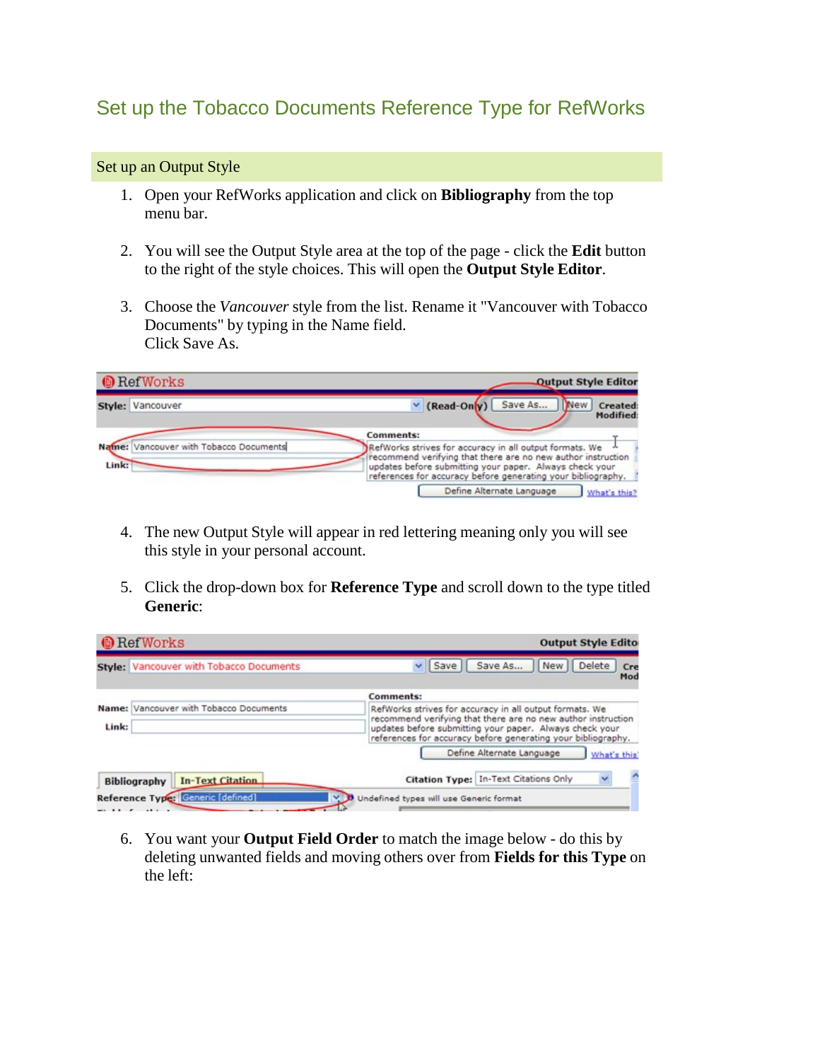## Set up the Tobacco Documents Reference Type for RefWorks

## Set up an Output Style

- 1. Open your RefWorks application and click on **Bibliography** from the top menu bar.
- 2. You will see the Output Style area at the top of the page click the **Edit** button to the right of the style choices. This will open the **Output Style Editor**.
- 3. Choose the *Vancouver* style from the list. Rename it "Vancouver with Tobacco Documents" by typing in the Name field. Click Save As.

| <b>O</b> RefWorks                               | <b>Output Style Editor</b>                                                                                                                                                                                                                         |
|-------------------------------------------------|----------------------------------------------------------------------------------------------------------------------------------------------------------------------------------------------------------------------------------------------------|
| Style: Vancouver                                | $\vee$ (Read-Only)<br>Save As<br><b>New</b><br><b>Created:</b><br><b>Modified:</b>                                                                                                                                                                 |
|                                                 | <b>Comments:</b>                                                                                                                                                                                                                                   |
| Name: Vancouver with Tobacco Documents<br>Link: | RefWorks strives for accuracy in all output formats. We<br>recommend verifying that there are no new author instruction<br>updates before submitting your paper. Always check your<br>references for accuracy before generating your bibliography. |
|                                                 | Define Alternate Language<br>What's this?                                                                                                                                                                                                          |

- 4. The new Output Style will appear in red lettering meaning only you will see this style in your personal account.
- 5. Click the drop-down box for **Reference Type** and scroll down to the type titled **Generic**:

| <b>O</b> RefWorks   |                                         | <b>Output Style Editor</b>                                                                                                                                                                                                                         |
|---------------------|-----------------------------------------|----------------------------------------------------------------------------------------------------------------------------------------------------------------------------------------------------------------------------------------------------|
|                     | Style: Vancouver with Tobacco Documents | Save As<br>Delete<br>Save<br><b>New</b><br>Cre<br>Mod                                                                                                                                                                                              |
|                     |                                         | <b>Comments:</b>                                                                                                                                                                                                                                   |
| Link:               | Name: Vancouver with Tobacco Documents  | RefWorks strives for accuracy in all output formats. We<br>recommend verifying that there are no new author instruction<br>updates before submitting your paper. Always check your<br>references for accuracy before generating your bibliography. |
|                     |                                         | Define Alternate Language<br>What's this                                                                                                                                                                                                           |
| <b>Bibliography</b> | <b>In-Text Citation</b>                 | Citation Type: In-Text Citations Only                                                                                                                                                                                                              |
|                     | Reference Type: Generic [defined]       | V D Undefined types will use Generic format                                                                                                                                                                                                        |

6. You want your **Output Field Order** to match the image below - do this by deleting unwanted fields and moving others over from **Fields for this Type** on the left: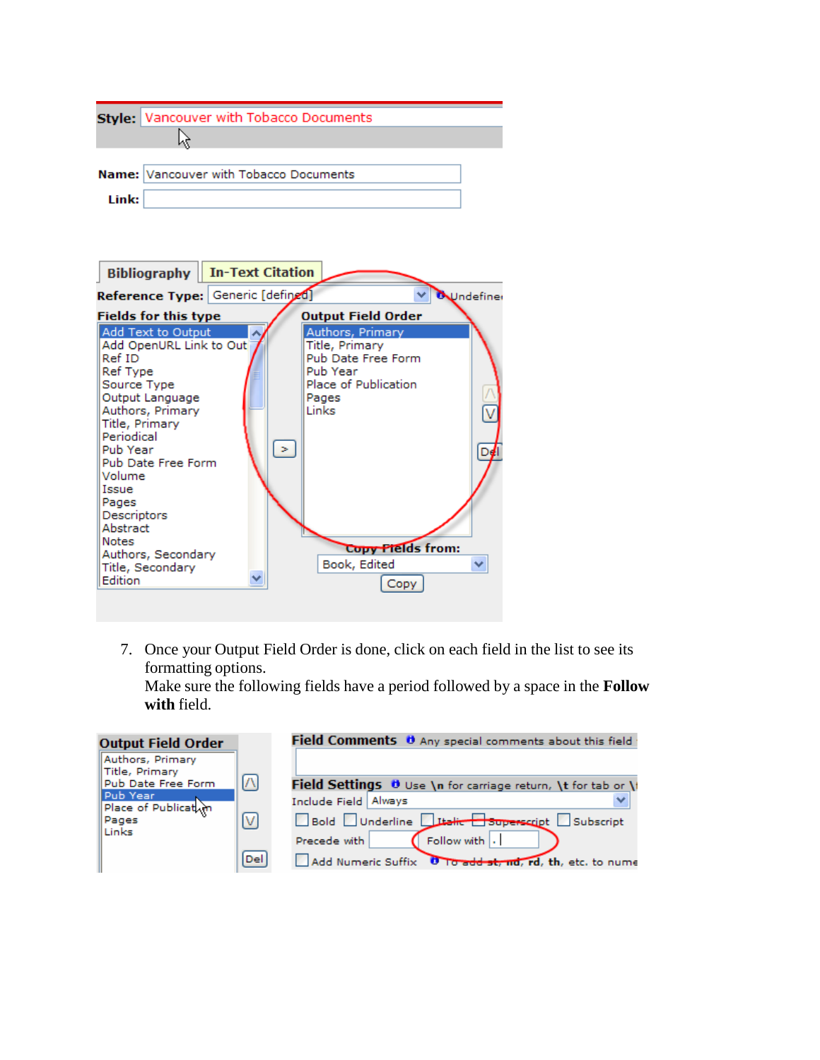|       | Style: Vancouver with Tobacco Documents |  |
|-------|-----------------------------------------|--|
|       |                                         |  |
|       |                                         |  |
|       | Name: Vancouver with Tobacco Documents  |  |
| Link: |                                         |  |



7. Once your Output Field Order is done, click on each field in the list to see its formatting options.

Make sure the following fields have a period followed by a space in the **Follow with** field.

| <b>Output Field Order</b>          |     | Field Comments 0 Any special comments about this field        |
|------------------------------------|-----|---------------------------------------------------------------|
| Authors, Primary<br>Title, Primary |     |                                                               |
| Pub Date Free Form                 | M   | Field Settings 0 Use \n for carriage return, \t for tab or \t |
| Pub Year<br>Place of Publication   |     | Include Field Always                                          |
| Pages<br>Links                     | M   | Bold Underline Litalic Superscript Subscript                  |
|                                    |     | Follow with .<br>Precede with                                 |
|                                    | Del | Add Numeric Suffix 0 To add st, nd, rd, th, etc. to nume      |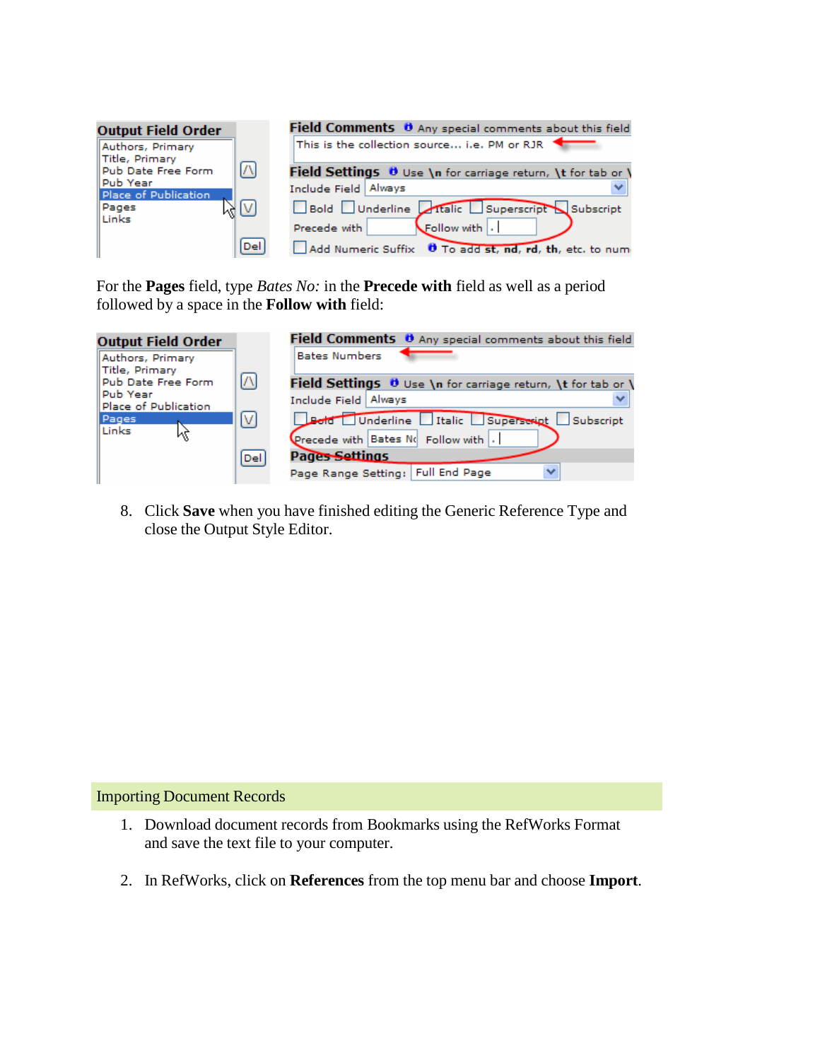| <b>Output Field Order</b>           |                       | Field Comments 0 Any special comments about this field              |
|-------------------------------------|-----------------------|---------------------------------------------------------------------|
| Authors, Primary<br>Title, Primary  |                       | This is the collection source i.e. PM or RJR $\blacktriangleleft$   |
| Pub Date Free Form                  | $\left[\wedge\right]$ | Field Settings <b>U</b> Use \n for carriage return, \t for tab or \ |
| ll Pub Year<br>Place of Publication |                       | Include Field Always                                                |
| $\sqrt{N}$<br>Pages<br>Links        |                       | Bold Underline Italic Superscript Subscript                         |
|                                     |                       | Precede with<br>Follow with                                         |
|                                     | Del                   | Add Numeric Suffix <b>U</b> To add st, nd, rd, th, etc. to num      |

For the **Pages** field, type *Bates No:* in the **Precede with** field as well as a period followed by a space in the **Follow with** field:

| <b>Output Field Order</b>            |                                  | Field Comments 0 Any special comments about this field       |
|--------------------------------------|----------------------------------|--------------------------------------------------------------|
| Authors, Primary                     |                                  | <b>Bates Numbers</b>                                         |
| Title, Primary<br>Pub Date Free Form | $\sqrt{ }$                       | Field Settings U Use \n for carriage return, \t for tab or \ |
| Pub Year<br>Place of Publication     |                                  | Include Field   Always                                       |
| Pages                                | $\mathsf{[}\mathsf{V}\mathsf{]}$ | Bold Underline Italic Superscript Subscript                  |
| Links                                |                                  | Precede with Bates No Follow with .                          |
|                                      | Del                              | <b>Pages Settings</b>                                        |
|                                      |                                  | <b>Full End Page</b><br>$\checkmark$<br>Page Range Setting:  |

8. Click **Save** when you have finished editing the Generic Reference Type and close the Output Style Editor.

## Importing Document Records

- 1. Download document records from Bookmarks using the RefWorks Format and save the text file to your computer.
- 2. In RefWorks, click on **References** from the top menu bar and choose **Import**.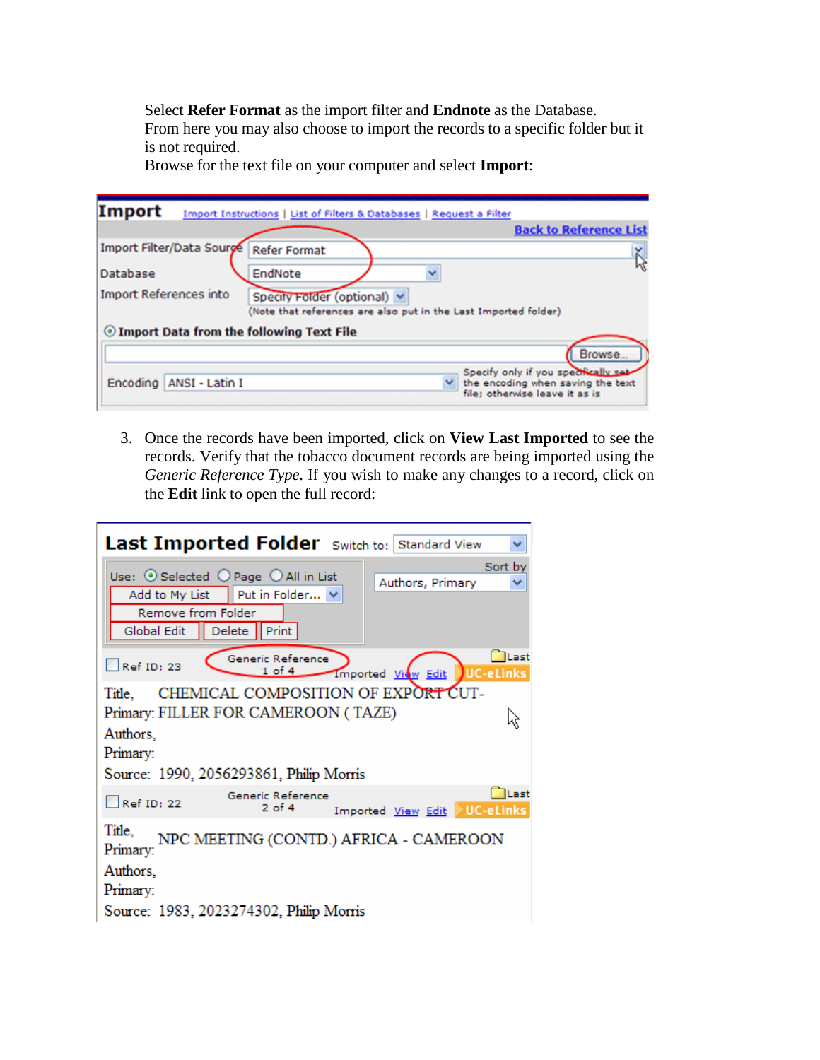Select **Refer Format** as the import filter and **Endnote** as the Database. From here you may also choose to import the records to a specific folder but it is not required.

Browse for the text file on your computer and select **Import**:

| Import<br>Import Instructions   List of Filters & Databases   Request a Filter                                                  |                                                                                                             |
|---------------------------------------------------------------------------------------------------------------------------------|-------------------------------------------------------------------------------------------------------------|
|                                                                                                                                 | <b>Back to Reference List</b>                                                                               |
| Import Filter/Data Sourge<br>Refer Format                                                                                       |                                                                                                             |
| Database<br>EndNote                                                                                                             |                                                                                                             |
| <b>Import References into</b><br>Specify Folder (optional) v<br>(Note that references are also put in the Last Imported folder) |                                                                                                             |
| <b>The Import Data from the following Text File</b>                                                                             |                                                                                                             |
|                                                                                                                                 | Browse.                                                                                                     |
| Encoding   ANSI - Latin I                                                                                                       | Specify only if you specifically sab<br>the encoding when saving the text<br>file: otherwise leave it as is |

3. Once the records have been imported, click on **View Last Imported** to see the records. Verify that the tobacco document records are being imported using the *Generic Reference Type*. If you wish to make any changes to a record, click on the **Edit** link to open the full record:

| Last Imported Folder Switch to: Standard View<br>₩                                                 |
|----------------------------------------------------------------------------------------------------|
| Sort by                                                                                            |
| Use: $\odot$ Selected $\odot$ Page $\odot$ All in List<br>Authors, Primary                         |
| Add to My List   Put in Folder<br>Remove from Folder<br>Global Edit   Delete   Print               |
| al Last<br>Generic Reference<br>Ref ID: 23<br>$1$ of $4$<br><b>UC-eLinks</b><br>Imported View Edit |
| CHEMICAL COMPOSITION OF EXPORT CUT-<br>Title.                                                      |
| Primary: FILLER FOR CAMEROON (TAZE)                                                                |
| Authors,<br>Primary:                                                                               |
| Source: 1990, 2056293861, Philip Morris                                                            |
| <b>ILast</b><br>Generic Reference<br>Ref ID: 22<br>$2$ of $4$<br>Imported View Edit UC-eLinks      |
| Title.<br>NPC MEETING (CONTD.) AFRICA - CAMEROON<br>Primary:                                       |
| Authors,                                                                                           |
| Primary:                                                                                           |
| Source: 1983, 2023274302, Philip Morris                                                            |